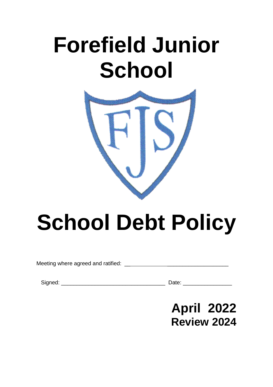# **Forefield Junior School**



# **School Debt Policy**

Meeting where agreed and ratified: \_\_ \_\_\_\_\_\_\_\_\_\_\_\_\_\_\_\_\_\_\_\_

Signed: \_\_\_\_\_\_\_\_\_\_\_\_\_\_\_\_\_\_\_\_\_\_\_\_\_\_\_\_\_\_\_\_\_\_ Date: \_\_\_\_\_\_\_\_\_\_\_\_\_\_\_\_

# **April 2022 Review 2024**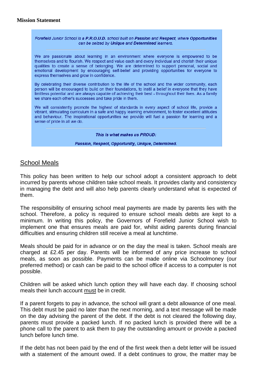### **Mission Statement**

#### Forefield Junior School is a P.R.O.U.D. school built on Passion and Respect. where Opportunities can be seized by Unique and Determined learners.

We are passionate about learning in an environment where everyone is empowered to be themselves and to flourish. We respect and value each and every individual and cherish their unique qualities to create a sense of belonging. We are determined to support personal, social and emotional development by encouraging self-belief and providing opportunities for everyone to express themselves and grow in confidence.

By celebrating their diverse contribution to the life of the school and the wider community, each person will be encouraged to build on their foundations, to instil a belief in everyone that they have limitless potential and are always capable of achieving their best - throughout their lives. As a family we share each other's successes and take pride in them.

We will consistently promote the highest of standards in every aspect of school life, provide a vibrant, stimulating curriculum in a safe and happy learning environment, to foster excellent attitudes and behaviour. The inspirational opportunities we provide will fuel a passion for learning and a sense of pride in all we do.

This is what makes us PROUD:

#### Passion, Respect, Opportunity, Unique, Determined.

### School Meals

This policy has been written to help our school adopt a consistent approach to debt incurred by parents whose children take school meals. It provides clarity and consistency in managing the debt and will also help parents clearly understand what is expected of them.

The responsibility of ensuring school meal payments are made by parents lies with the school. Therefore, a policy is required to ensure school meals debts are kept to a minimum. In writing this policy, the Governors of Forefield Junior School wish to implement one that ensures meals are paid for, whilst aiding parents during financial difficulties and ensuring children still receive a meal at lunchtime.

Meals should be paid for in advance or on the day the meal is taken. School meals are charged at £2.45 per day. Parents will be informed of any price increase to school meals, as soon as possible. Payments can be made online via Schoolmoney (our preferred method) or cash can be paid to the school office if access to a computer is not possible.

Children will be asked which lunch option they will have each day. If choosing school meals their lunch account must be in credit.

If a parent forgets to pay in advance, the school will grant a debt allowance of one meal. This debt must be paid no later than the next morning, and a text message will be made on the day advising the parent of the debt. If the debt is not cleared the following day, parents must provide a packed lunch. If no packed lunch is provided there will be a phone call to the parent to ask them to pay the outstanding amount or provide a packed lunch before lunch time.

If the debt has not been paid by the end of the first week then a debt letter will be issued with a statement of the amount owed. If a debt continues to grow, the matter may be